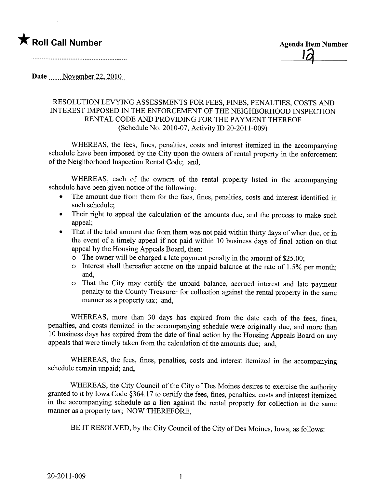

Date  $\frac{\text{November 22, 2010}}{\text{November 22}}$ 

## RESOLUTION LEVYING ASSESSMENTS FOR FEES, FINES, PENALTIES, COSTS AN INTEREST IMPOSED IN THE ENFORCEMENT OF THE NEIGHBORHOOD INSPECTION RENTAL CODE AND PROVIDING FOR THE PAYMENT THEREOF (Schedule No. 2010-07, Activity ID 20-2011-009)

WHEREAS, the fees, fines, penalties, costs and interest itemized in the accompanying schedule have been imposed by the City upon the owners of rental property in the enforcement of the Neighborhood Inspection Rental Code; and,

WHEREAS, each of the owners of the rental property listed in the accompanying schedule have been given notice of the following:

- · The amount due from them for the fees, fines, penalties, costs and interest identified in such schedule;
- Their right to appeal the calculation of the amounts due, and the process to make such appeal;
- That if the total amount due from them was not paid within thirty days of when due, or in the event of a timely appeal if not paid within 10 business days of final action on that appeal by the Housing Appeals Board, then:
	- $\circ$  The owner will be charged a late payment penalty in the amount of \$25.00;
	- o Interest shall thereafter accrue on the unpaid balance at the rate of 1.5% per month; and,
	- o That the City may certify the unpaid balance, accrued interest and late payment penalty to the County Treasurer for collection against the rental property in the same manner as a property tax; and,

WHEREAS, more than 30 days has expired from the date each of the fees, fines, penalties, and costs itemized in the accompanying schedule were originally due, and more than 10 business days has expired from the date of final action by the Housing Appeals Board on any appeals that were timely taken from the calculation of the amounts due; and,

WHEREAS, the fees, fines, penalties, costs and interest itemized in the accompanying schedule remain unpaid; and,

WHEREAS, the City Council of the City of Des Moines desires to exercise the authority granted to it by Iowa Code §364.17 to certify the fees, fines, penalties, costs and interest itemized in the accompanying schedule as a lien against the rental property for collection in the same manner as a property tax; NOW THEREFORE,

BE IT RESOLVED, by the City Council of the City of Des Moines, Iowa, as follows: